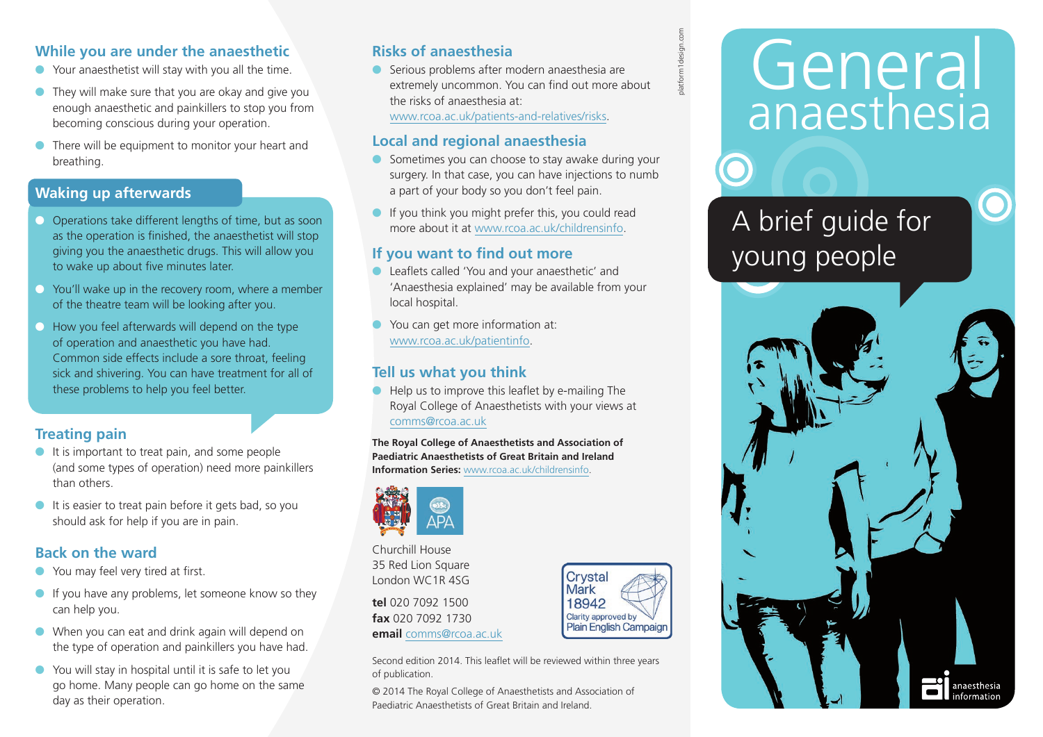## **While you are under the anaesthetic**

- Your anaesthetist will stay with you all the time.
- $\bullet$  They will make sure that you are okay and give you enough anaesthetic and painkillers to stop you from becoming conscious during your operation.
- There will be equipment to monitor your heart and breathing.

## **Waking up afterwards**

- Operations take different lengths of time, but as soon as the operation is finished, the anaesthetist will stop giving you the anaesthetic drugs. This will allow you to wake up about five minutes later.
- $\bullet$  You'll wake up in the recovery room, where a member of the theatre team will be looking after you.
- $\bullet$  How you feel afterwards will depend on the type of operation and anaesthetic you have had. Common side effects include a sore throat, feeling sick and shivering. You can have treatment for all of these problems to help you feel better.

# **Treating pain**

- It is important to treat pain, and some people (and some types of operation) need more painkillers than others.
- It is easier to treat pain before it gets bad, so you should ask for help if you are in pain.

## **Back on the ward**

- You may feel very tired at first.
- If you have any problems, let someone know so they can help you.
- When you can eat and drink again will depend on the type of operation and painkillers you have had.
- You will stay in hospital until it is safe to let you go home. Many people can go home on the same day as their operation.

# **Risks of anaesthesia**

● Serious problems after modern anaesthesia are extremely uncommon. You can find out more about the risks of anaesthesia at: www.rcoa.ac.uk/patients-and-relatives/risks.

#### **Local and regional anaesthesia**

- Sometimes you can choose to stay awake during your surgery. In that case, you can have injections to numb a part of your body so you don't feel pain.
- If you think you might prefer this, you could read more about it at www.rcoa.ac.uk/childrensinfo.

### **If you want to find out more**

- Leaflets called 'You and your anaesthetic' and 'Anaesthesia explained' may be available from your local hospital.
- You can get more information at: www.rcoa.ac.uk/patientinfo.

# **Tell us what you think**

Help us to improve this leaflet by e-mailing The Royal College of Anaesthetists with your views at comms@rcoa.ac.uk

**The Royal College of Anaesthetists and Association of Paediatric Anaesthetists of Great Britain and Ireland Information Series:** www.rcoa.ac.uk/childrensinfo.



Churchill House 35 Red Lion Square London WC1R 4SG

**tel** 020 7092 1500 **fax** 020 7092 1730 **email** comms@rcoa.ac.uk



© 2014 The Royal College of Anaesthetists and Association of Paediatric Anaesthetists of Great Britain and Ireland.



platform1design.com

# General anaesthesia

A brief guide for young people